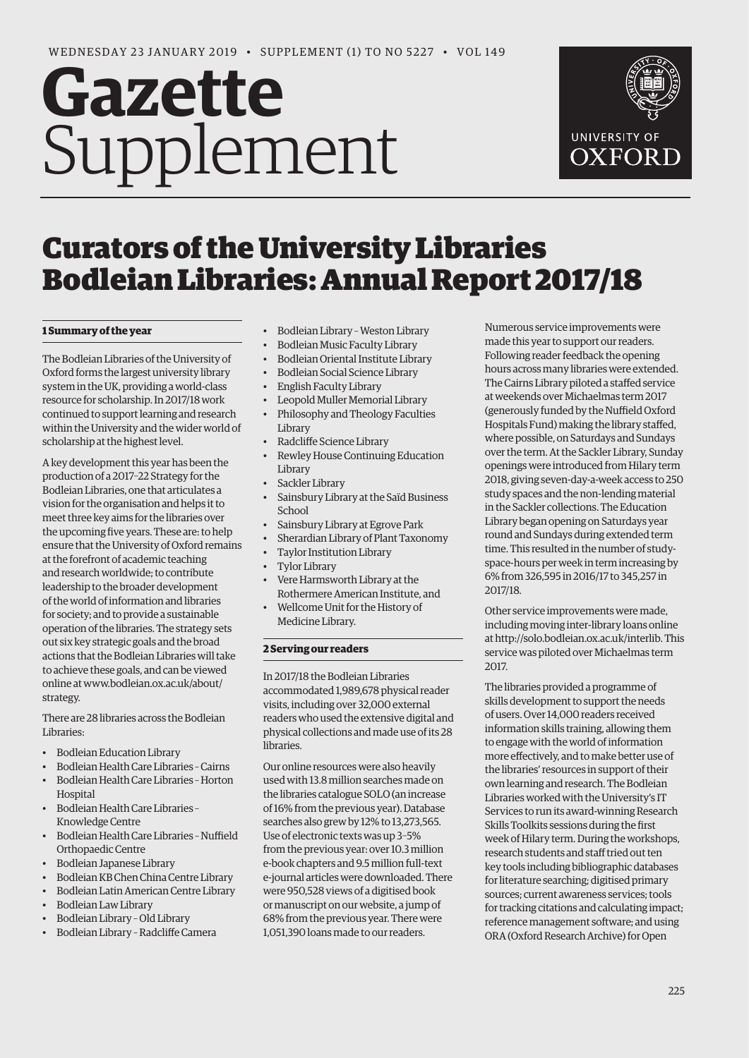# **Gazette** Supplement



# Curators of the University Libraries Bodleian Libraries: Annual Report 2017/18

# **1 Summary of the year**

The Bodleian Libraries of the University of Oxford forms the largest university library system in the UK, providing a world-class resource for scholarship. In 2017/18 work continued to support learning and research within the University and the wider world of scholarship at the highest level.

A key development this year has been the production of a 2017–22 Strategy for the Bodleian Libraries, one that articulates a vision for the organisation and helps it to meet three key aims for the libraries over the upcoming five years. These are: to help ensure that the University of Oxford remains at the forefront of academic teaching and research worldwide; to contribute leadership to the broader development of the world of information and libraries for society; and to provide a sustainable operation of the libraries. The strategy sets out six key strategic goals and the broad actions that the Bodleian Libraries will take to achieve these goals, and can be viewed [online at www.bodleian.ox.ac.uk/about/](www.bodleian.ox.ac.uk/about/strategy) strategy.

There are 28 libraries across the Bodleian Libraries:

- Bodleian Education Library
- Bodleian Health Care Libraries Cairns • Bodleian Health Care Libraries – Horton
- Hospital • Bodleian Health Care Libraries –
- Knowledge Centre
- Bodleian Health Care Libraries Nuffield Orthopaedic Centre
- Bodleian Japanese Library
- Bodleian KB Chen China Centre Library
- Bodleian Latin American Centre Library
- Bodleian Law Library
- Bodleian Library Old Library
- Bodleian Library Radcliffe Camera
- Bodleian Library Weston Library
- Bodleian Music Faculty Library
- Bodleian Oriental Institute Library
- Bodleian Social Science Library
- English Faculty Library
- Leopold Muller Memorial Library
- Philosophy and Theology Faculties **Library**
- Radcliffe Science Library
- Rewley House Continuing Education Library
- Sackler Library
- Sainsbury Library at the Saïd Business School
- Sainsbury Library at Egrove Park
- Sherardian Library of Plant Taxonomy
- Taylor Institution Library
- Tylor Library
- Vere Harmsworth Library at the Rothermere American Institute, and
- Wellcome Unit for the History of Medicine Library.

# **2 Serving our readers**

In 2017/18 the Bodleian Libraries accommodated 1,989,678 physical reader visits, including over 32,000 external readers who used the extensive digital and physical collections and made use of its 28 libraries.

Our online resources were also heavily used with 13.8 million searches made on the libraries catalogue SOLO (an increase of 16% from the previous year). Database searches also grew by 12% to 13,273,565. Use of electronic texts was up 3–5% from the previous year: over 10.3 million e-book chapters and 9.5 million full-text e-journal articles were downloaded. There were 950,528 views of a digitised book or manuscript on our website, a jump of 68% from the previous year. There were 1,051,390 loans made to our readers.

Numerous service improvements were made this year to support our readers. Following reader feedback the opening hours across many libraries were extended. The Cairns Library piloted a staffed service at weekends over Michaelmas term 2017 (generously funded by the Nuffield Oxford Hospitals Fund) making the library staffed, where possible, on Saturdays and Sundays over the term. At the Sackler Library, Sunday openings were introduced from Hilary term 2018, giving seven-day-a-week access to 250 study spaces and the non-lending material in the Sackler collections. The Education Library began opening on Saturdays year round and Sundays during extended term time. This resulted in the number of studyspace-hours per week in term increasing by 6% from 326,595 in 2016/17 to 345,257 in 2017/18.

Other service improvements were made, including moving inter-library loans online at [http://solo.bodleian.ox.ac.uk/interlib. Th](http://solo.bodleian.ox.ac.uk/interlib)is service was piloted over Michaelmas term 2017.

The libraries provided a programme of skills development to support the needs of users. Over 14,000 readers received information skills training, allowing them to engage with the world of information more effectively, and to make better use of the libraries' resources in support of their own learning and research. The Bodleian Libraries worked with the University's IT Services to run its award-winning Research Skills Toolkits sessions during the first week of Hilary term. During the workshops, research students and staff tried out ten key tools including bibliographic databases for literature searching; digitised primary sources; current awareness services; tools for tracking citations and calculating impact; reference management software; and using ORA (Oxford Research Archive) for Open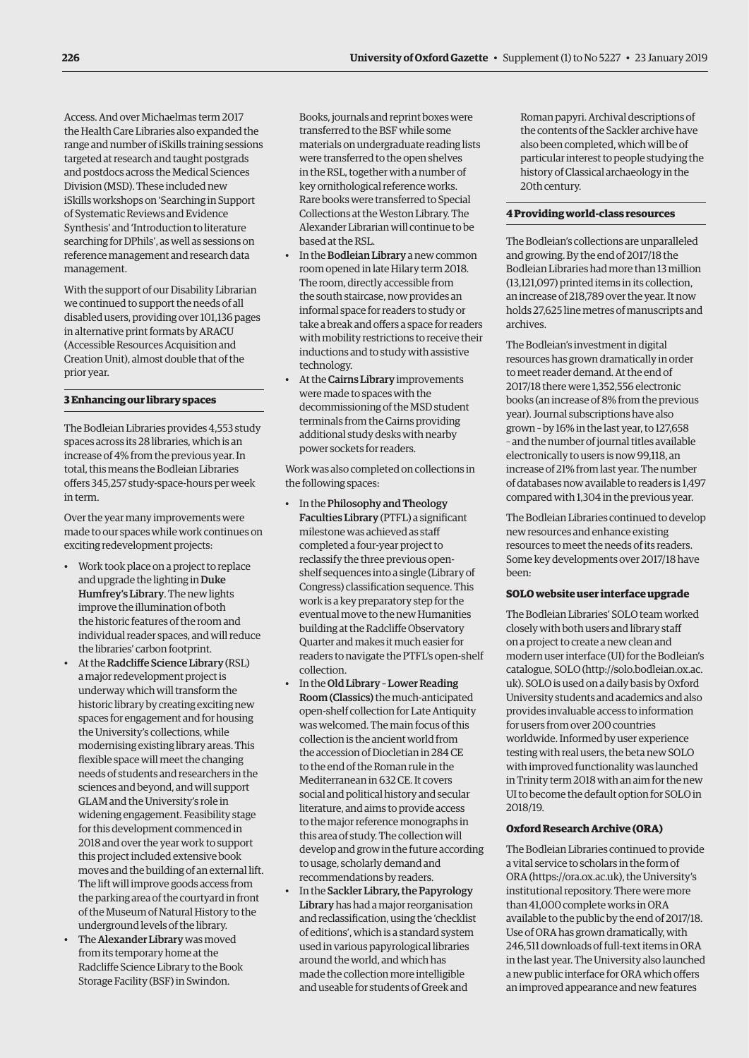Access. And over Michaelmas term 2017 the Health Care Libraries also expanded the range and number of iSkills training sessions targeted at research and taught postgrads and postdocs across the Medical Sciences Division (MSD). These included new iSkills workshops on 'Searching in Support of Systematic Reviews and Evidence Synthesis' and 'Introduction to literature searching for DPhils', as well as sessions on reference management and research data management.

With the support of our Disability Librarian we continued to support the needs of all disabled users, providing over 101,136 pages in alternative print formats by ARACU (Accessible Resources Acquisition and Creation Unit), almost double that of the prior year.

#### **3 Enhancing our library spaces**

The Bodleian Libraries provides 4,553 study spaces across its 28 libraries, which is an increase of 4% from the previous year. In total, this means the Bodleian Libraries offers 345,257 study-space-hours per week in term.

Over the year many improvements were made to our spaces while work continues on exciting redevelopment projects:

- Work took place on a project to replace and upgrade the lighting in Duke Humfrey's Library. The new lights improve the illumination of both the historic features of the room and individual reader spaces, and will reduce the libraries' carbon footprint.
- At the Radcliffe Science Library (RSL) a major redevelopment project is underway which will transform the historic library by creating exciting new spaces for engagement and for housing the University's collections, while modernising existing library areas. This flexible space will meet the changing needs of students and researchers in the sciences and beyond, and will support GLAM and the University's role in widening engagement. Feasibility stage for this development commenced in 2018 and over the year work to support this project included extensive book moves and the building of an external lift. The lift will improve goods access from the parking area of the courtyard in front of the Museum of Natural History to the underground levels of the library.
- The Alexander Library was moved from its temporary home at the Radcliffe Science Library to the Book Storage Facility (BSF) in Swindon.

Books, journals and reprint boxes were transferred to the BSF while some materials on undergraduate reading lists were transferred to the open shelves in the RSL, together with a number of key ornithological reference works. Rare books were transferred to Special Collections at the Weston Library. The Alexander Librarian will continue to be based at the RSL.

- In the Bodleian Library a new common room opened in late Hilary term 2018. The room, directly accessible from the south staircase, now provides an informal space for readers to study or take a break and offers a space for readers with mobility restrictions to receive their inductions and to study with assistive technology.
- At the Cairns Library improvements were made to spaces with the decommissioning of the MSD student terminals from the Cairns providing additional study desks with nearby power sockets for readers.

Work was also completed on collections in the following spaces:

- In the Philosophy and Theology Faculties Library (PTFL) a significant milestone was achieved as staff completed a four-year project to reclassify the three previous openshelf sequences into a single (Library of Congress) classification sequence. This work is a key preparatory step for the eventual move to the new Humanities building at the Radcliffe Observatory Quarter and makes it much easier for readers to navigate the PTFL's open-shelf collection.
- In the Old Library Lower Reading Room (Classics) the much-anticipated open-shelf collection for Late Antiquity was welcomed. The main focus of this collection is the ancient world from the accession of Diocletian in 284 CE to the end of the Roman rule in the Mediterranean in 632 CE. It covers social and political history and secular literature, and aims to provide access to the major reference monographs in this area of study. The collection will develop and grow in the future according to usage, scholarly demand and recommendations by readers.
- In the Sackler Library, the Papyrology Library has had a major reorganisation and reclassification, using the 'checklist of editions', which is a standard system used in various papyrological libraries around the world, and which has made the collection more intelligible and useable for students of Greek and

Roman papyri. Archival descriptions of the contents of the Sackler archive have also been completed, which will be of particular interest to people studying the history of Classical archaeology in the 20th century.

#### **4 Providing world-class resources**

The Bodleian's collections are unparalleled and growing. By the end of 2017/18 the Bodleian Libraries had more than 13 million (13,121,097) printed items in its collection, an increase of 218,789 over the year. It now holds 27,625 line metres of manuscripts and archives.

The Bodleian's investment in digital resources has grown dramatically in order to meet reader demand. At the end of 2017/18 there were 1,352,556 electronic books (an increase of 8% from the previous year). Journal subscriptions have also grown – by 16% in the last year, to 127,658 – and the number of journal titles available electronically to users is now 99,118, an increase of 21% from last year. The number of databases now available to readers is 1,497 compared with 1,304 in the previous year.

The Bodleian Libraries continued to develop new resources and enhance existing resources to meet the needs of its readers. Some key developments over 2017/18 have been:

#### **SOLO website user interface upgrade**

The Bodleian Libraries' SOLO team worked closely with both users and library staff on a project to create a new clean and modern user interface (UI) for the Bodleian's catalogue, SOLO [\(http://solo.bodleian.ox.ac.](http://solo.bodleian.ox.ac.uk) [uk\). SO](http://solo.bodleian.ox.ac.uk)LO is used on a daily basis by Oxford University students and academics and also provides invaluable access to information for users from over 200 countries worldwide. Informed by user experience testing with real users, the beta new SOLO with improved functionality was launched in Trinity term 2018 with an aim for the new UI to become the default option for SOLO in 2018/19.

## **Oxford Research Archive (ORA)**

The Bodleian Libraries continued to provide a vital service to scholars in the form of ORA [\(https://ora.ox.ac.uk\), th](https://ora.ox.ac.uk)e University's institutional repository. There were more than 41,000 complete works in ORA available to the public by the end of 2017/18. Use of ORA has grown dramatically, with 246,511 downloads of full-text items in ORA in the last year. The University also launched a new public interface for ORA which offers an improved appearance and new features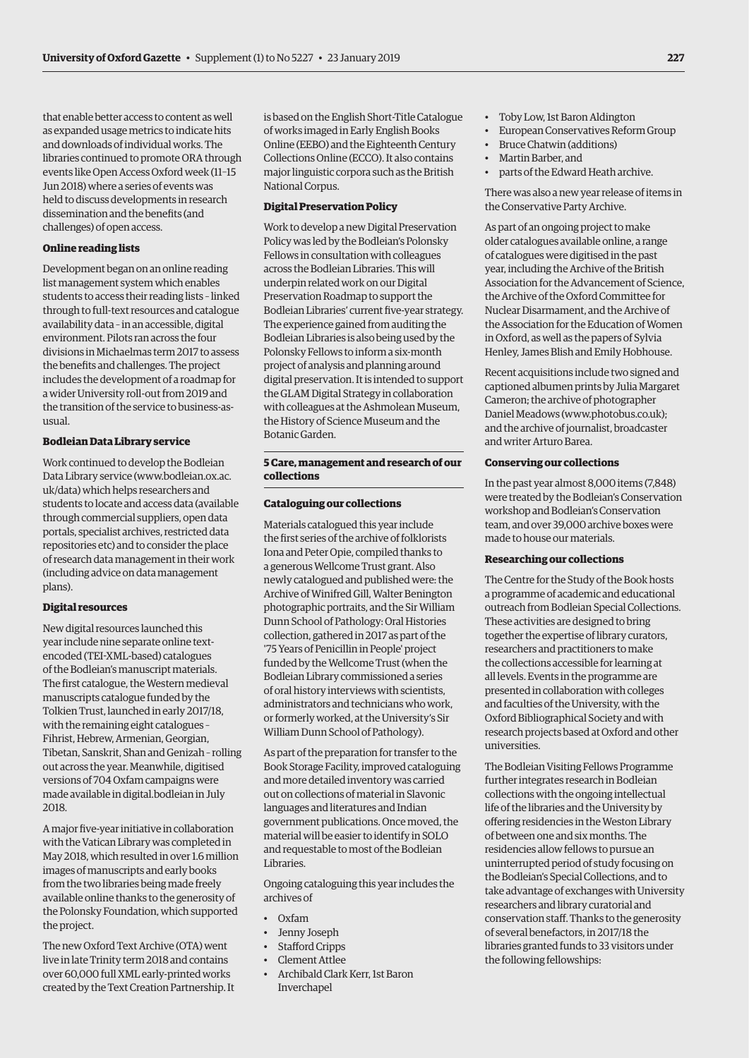that enable better access to content as well as expanded usage metrics to indicate hits and downloads of individual works. The libraries continued to promote ORA through events like Open Access Oxford week (11–15 Jun 2018) where a series of events was held to discuss developments in research dissemination and the benefits (and challenges) of open access.

#### **Online reading lists**

Development began on an online reading list management system which enables students to access their reading lists – linked through to full-text resources and catalogue availability data – in an accessible, digital environment. Pilots ran across the four divisions in Michaelmas term 2017 to assess the benefits and challenges. The project includes the development of a roadmap for a wider University roll-out from 2019 and the transition of the service to business-asusual.

#### **Bodleian Data Library service**

Work continued to develop the Bodleian Data Library service [\(www.bodleian.ox.ac.](http://www.bodleian.ox.ac.uk/data) [uk/data\) wh](http://www.bodleian.ox.ac.uk/data)ich helps researchers and students to locate and access data (available through commercial suppliers, open data portals, specialist archives, restricted data repositories etc) and to consider the place of research data management in their work (including advice on data management plans).

#### **Digital resources**

New digital resources launched this year include nine separate online textencoded (TEI-XML-based) catalogues of the Bodleian's manuscript materials. The first catalogue, the Western medieval manuscripts catalogue funded by the Tolkien Trust, launched in early 2017/18, with the remaining eight catalogues – Fihrist, Hebrew, Armenian, Georgian, Tibetan, Sanskrit, Shan and Genizah – rolling out across the year. Meanwhile, digitised versions of 704 Oxfam campaigns were made available in digital.bodleian in July 2018.

A major five-year initiative in collaboration with the Vatican Library was completed in May 2018, which resulted in over 1.6 million images of manuscripts and early books from the two libraries being made freely available online thanks to the generosity of the Polonsky Foundation, which supported the project.

The new Oxford Text Archive (OTA) went live in late Trinity term 2018 and contains over 60,000 full XML early-printed works created by the Text Creation Partnership. It is based on the English Short-Title Catalogue of works imaged in Early English Books Online (EEBO) and the Eighteenth Century Collections Online (ECCO). It also contains major linguistic corpora such as the British National Corpus.

#### **Digital Preservation Policy**

Work to develop a new Digital Preservation Policy was led by the Bodleian's Polonsky Fellows in consultation with colleagues across the Bodleian Libraries. This will underpin related work on our Digital Preservation Roadmap to support the Bodleian Libraries' current five-year strategy. The experience gained from auditing the Bodleian Libraries is also being used by the Polonsky Fellows to inform a six-month project of analysis and planning around digital preservation. It is intended to support the GLAM Digital Strategy in collaboration with colleagues at the Ashmolean Museum, the History of Science Museum and the Botanic Garden.

# **5 Care, management and research of our collections**

#### **Cataloguing our collections**

Materials catalogued this year include the first series of the archive of folklorists Iona and Peter Opie, compiled thanks to a generous Wellcome Trust grant. Also newly catalogued and published were: the Archive of Winifred Gill, Walter Benington photographic portraits, and the Sir William Dunn School of Pathology: Oral Histories collection, gathered in 2017 as part of the '75 Years of Penicillin in People' project funded by the Wellcome Trust (when the Bodleian Library commissioned a series of oral history interviews with scientists, administrators and technicians who work, or formerly worked, at the University's Sir William Dunn School of Pathology).

As part of the preparation for transfer to the Book Storage Facility, improved cataloguing and more detailed inventory was carried out on collections of material in Slavonic languages and literatures and Indian government publications. Once moved, the material will be easier to identify in SOLO and requestable to most of the Bodleian Libraries.

Ongoing cataloguing this year includes the archives of

- Oxfam
- Jenny Joseph
- Stafford Cripps
- Clement Attlee
- Archibald Clark Kerr, 1st Baron Inverchapel
- Toby Low, 1st Baron Aldington
- European Conservatives Reform Group
- Bruce Chatwin (additions)
- Martin Barber, and
- parts of the Edward Heath archive.

There was also a new year release of items in the Conservative Party Archive.

As part of an ongoing project to make older catalogues available online, a range of catalogues were digitised in the past year, including the Archive of the British Association for the Advancement of Science, the Archive of the Oxford Committee for Nuclear Disarmament, and the Archive of the Association for the Education of Women in Oxford, as well as the papers of Sylvia Henley, James Blish and Emily Hobhouse.

Recent acquisitions include two signed and captioned albumen prints by Julia Margaret Cameron; the archive of photographer Daniel Meadows [\(www.photobus.co.uk\);](http://www.photobus.co.uk)  and the archive of journalist, broadcaster and writer Arturo Barea.

#### **Conserving our collections**

In the past year almost 8,000 items (7,848) were treated by the Bodleian's Conservation workshop and Bodleian's Conservation team, and over 39,000 archive boxes were made to house our materials.

#### **Researching our collections**

The Centre for the Study of the Book hosts a programme of academic and educational outreach from Bodleian Special Collections. These activities are designed to bring together the expertise of library curators, researchers and practitioners to make the collections accessible for learning at all levels. Events in the programme are presented in collaboration with colleges and faculties of the University, with the Oxford Bibliographical Society and with research projects based at Oxford and other universities.

The Bodleian Visiting Fellows Programme further integrates research in Bodleian collections with the ongoing intellectual life of the libraries and the University by offering residencies in the Weston Library of between one and six months. The residencies allow fellows to pursue an uninterrupted period of study focusing on the Bodleian's Special Collections, and to take advantage of exchanges with University researchers and library curatorial and conservation staff. Thanks to the generosity of several benefactors, in 2017/18 the libraries granted funds to 33 visitors under the following fellowships: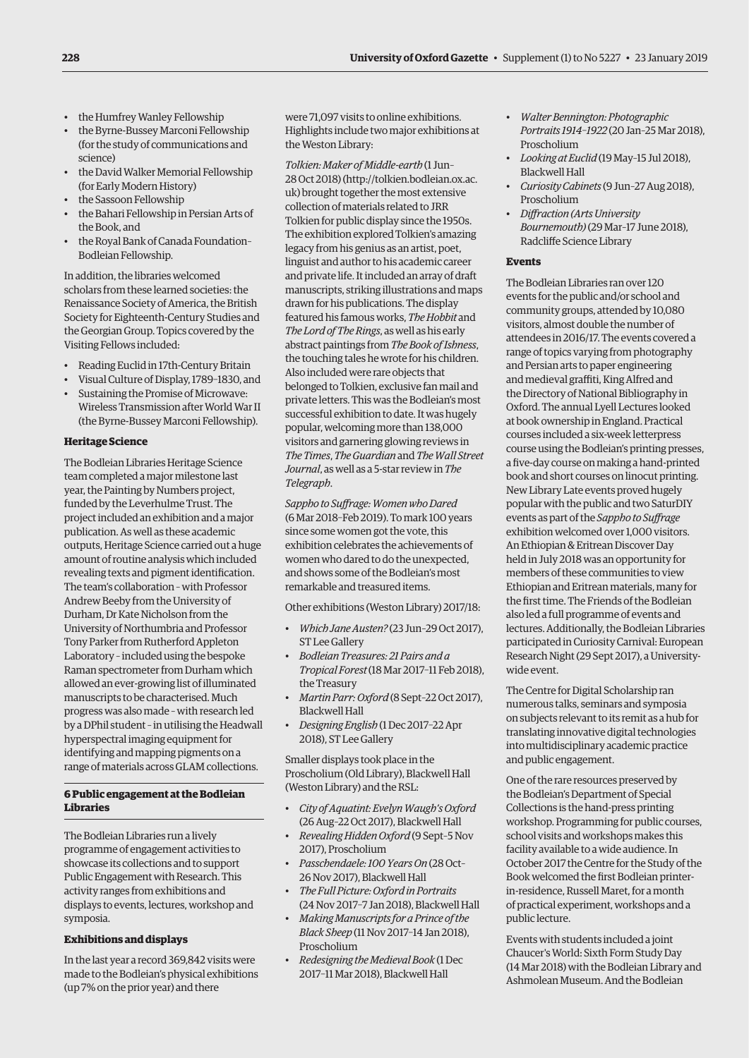- the Humfrey Wanley Fellowship
- the Byrne-Bussey Marconi Fellowship (for the study of communications and science)
- the David Walker Memorial Fellowship (for Early Modern History)
- the Sassoon Fellowship
- the Bahari Fellowship in Persian Arts of the Book, and
- the Royal Bank of Canada Foundation– Bodleian Fellowship.

In addition, the libraries welcomed scholars from these learned societies: the Renaissance Society of America, the British Society for Eighteenth-Century Studies and the Georgian Group. Topics covered by the Visiting Fellows included:

- Reading Euclid in 17th-Century Britain
- Visual Culture of Display, 1789–1830, and
- Sustaining the Promise of Microwave: Wireless Transmission after World War II (the Byrne-Bussey Marconi Fellowship).

# **Heritage Science**

The Bodleian Libraries Heritage Science team completed a major milestone last year, the Painting by Numbers project, funded by the Leverhulme Trust. The project included an exhibition and a major publication. As well as these academic outputs, Heritage Science carried out a huge amount of routine analysis which included revealing texts and pigment identification. The team's collaboration – with Professor Andrew Beeby from the University of Durham, Dr Kate Nicholson from the University of Northumbria and Professor Tony Parker from Rutherford Appleton Laboratory – included using the bespoke Raman spectrometer from Durham which allowed an ever-growing list of illuminated manuscripts to be characterised. Much progress was also made – with research led by a DPhil student – in utilising the Headwall hyperspectral imaging equipment for identifying and mapping pigments on a range of materials across GLAM collections.

# **6 Public engagement at the Bodleian Libraries**

The Bodleian Libraries run a lively programme of engagement activities to showcase its collections and to support Public Engagement with Research. This activity ranges from exhibitions and displays to events, lectures, workshop and symposia.

# **Exhibitions and displays**

In the last year a record 369,842 visits were made to the Bodleian's physical exhibitions (up 7% on the prior year) and there

were 71,097 visits to online exhibitions. Highlights include two major exhibitions at the Weston Library:

*Tolkien: Maker of Middle-earth* (1 Jun– 28 Oct 2018) [\(http://tolkien.bodleian.ox.ac.](http://tolkien.bodleian.ox.ac.uk) [uk\) br](http://tolkien.bodleian.ox.ac.uk)ought together the most extensive collection of materials related to JRR Tolkien for public display since the 1950s. The exhibition explored Tolkien's amazing legacy from his genius as an artist, poet, linguist and author to his academic career and private life. It included an array of draft manuscripts, striking illustrations and maps drawn for his publications. The display featured his famous works, *The Hobbit* and *The Lord of The Rings*, as well as his early abstract paintings from *The Book of Ishness*, the touching tales he wrote for his children. Also included were rare objects that belonged to Tolkien, exclusive fan mail and private letters. This was the Bodleian's most successful exhibition to date. It was hugely popular, welcoming more than 138,000 visitors and garnering glowing reviews in *The Times*, *The Guardian* and *The Wall Street Journal*, as well as a 5-star review in *The Telegraph*.

*Sappho to Suffrage: Women who Dared* (6 Mar 2018–Feb 2019). To mark 100 years since some women got the vote, this exhibition celebrates the achievements of women who dared to do the unexpected, and shows some of the Bodleian's most remarkable and treasured items.

Other exhibitions (Weston Library) 2017/18:

- *Which Jane Austen?* (23 Jun–29 Oct 2017), ST Lee Gallery
- *Bodleian Treasures: 21 Pairs and a Tropical Forest* (18 Mar 2017–11 Feb 2018), the Treasury
- *Martin Parr: Oxford* (8 Sept–22 Oct 2017), Blackwell Hall
- *Designing English* (1 Dec 2017–22 Apr 2018), ST Lee Gallery

Smaller displays took place in the Proscholium (Old Library), Blackwell Hall (Weston Library) and the RSL:

- *City of Aquatint: Evelyn Waugh's Oxford* (26 Aug–22 Oct 2017), Blackwell Hall
- *Revealing Hidden Oxford* (9 Sept–5 Nov 2017), Proscholium
- *Passchendaele: 100 Years On* (28 Oct– 26 Nov 2017), Blackwell Hall
- *The Full Picture: Oxford in Portraits* (24 Nov 2017–7 Jan 2018), Blackwell Hall
- *Making Manuscripts for a Prince of the Black Sheep* (11 Nov 2017–14 Jan 2018), Proscholium
- *Redesigning the Medieval Book* (1 Dec 2017–11 Mar 2018), Blackwell Hall
- *Walter Bennington: Photographic Portraits 1914–1922* (20 Jan–25 Mar 2018), Proscholium
- *Looking at Euclid* (19 May–15 Jul 2018), Blackwell Hall
- *Curiosity Cabinets* (9 Jun–27 Aug 2018), Proscholium
- *Diffraction (Arts University Bournemouth)* (29 Mar–17 June 2018), Radcliffe Science Library

# **Events**

The Bodleian Libraries ran over 120 events for the public and/or school and community groups, attended by 10,080 visitors, almost double the number of attendees in 2016/17. The events covered a range of topics varying from photography and Persian arts to paper engineering and medieval graffiti, King Alfred and the Directory of National Bibliography in Oxford. The annual Lyell Lectures looked at book ownership in England. Practical courses included a six-week letterpress course using the Bodleian's printing presses, a five-day course on making a hand-printed book and short courses on linocut printing. New Library Late events proved hugely popular with the public and two SaturDIY events as part of the *Sappho to Suffrage* exhibition welcomed over 1,000 visitors. An Ethiopian & Eritrean Discover Day held in July 2018 was an opportunity for members of these communities to view Ethiopian and Eritrean materials, many for the first time. The Friends of the Bodleian also led a full programme of events and lectures. Additionally, the Bodleian Libraries participated in Curiosity Carnival: European Research Night (29 Sept 2017), a Universitywide event.

The Centre for Digital Scholarship ran numerous talks, seminars and symposia on subjects relevant to its remit as a hub for translating innovative digital technologies into multidisciplinary academic practice and public engagement.

One of the rare resources preserved by the Bodleian's Department of Special Collections is the hand-press printing workshop. Programming for public courses, school visits and workshops makes this facility available to a wide audience. In October 2017 the Centre for the Study of the Book welcomed the first Bodleian printerin-residence, Russell Maret, for a month of practical experiment, workshops and a public lecture.

Events with students included a joint Chaucer's World: Sixth Form Study Day (14 Mar 2018) with the Bodleian Library and Ashmolean Museum. And the Bodleian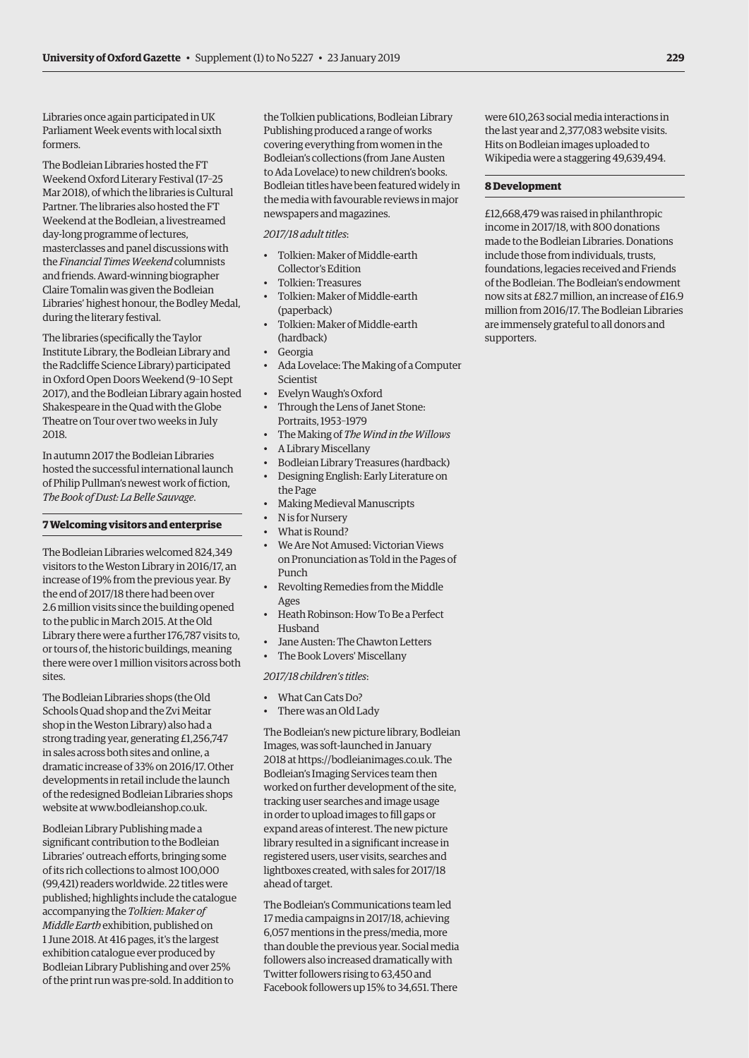Libraries once again participated in UK Parliament Week events with local sixth formers.

The Bodleian Libraries hosted the FT Weekend Oxford Literary Festival (17–25 Mar 2018), of which the libraries is Cultural Partner. The libraries also hosted the FT Weekend at the Bodleian, a livestreamed day-long programme of lectures, masterclasses and panel discussions with the *Financial Times Weekend* columnists and friends. Award-winning biographer Claire Tomalin was given the Bodleian Libraries' highest honour, the Bodley Medal, during the literary festival.

The libraries (specifically the Taylor Institute Library, the Bodleian Library and the Radcliffe Science Library) participated in Oxford Open Doors Weekend (9–10 Sept 2017), and the Bodleian Library again hosted Shakespeare in the Quad with the Globe Theatre on Tour over two weeks in July 2018.

In autumn 2017 the Bodleian Libraries hosted the successful international launch of Philip Pullman's newest work of fiction, *The Book of Dust: La Belle Sauvage*.

#### **7 Welcoming visitors and enterprise**

The Bodleian Libraries welcomed 824,349 visitors to the Weston Library in 2016/17, an increase of 19% from the previous year. By the end of 2017/18 there had been over 2.6 million visits since the building opened to the public in March 2015. At the Old Library there were a further 176,787 visits to, or tours of, the historic buildings, meaning there were over 1 million visitors across both sites.

The Bodleian Libraries shops (the Old Schools Quad shop and the Zvi Meitar shop in the Weston Library) also had a strong trading year, generating £1,256,747 in sales across both sites and online, a dramatic increase of 33% on 2016/17. Other developments in retail include the launch of the redesigned Bodleian Libraries shops website at [www.bodleianshop.co.uk.](http://www.bodleianshop.co.uk) 

Bodleian Library Publishing made a significant contribution to the Bodleian Libraries' outreach efforts, bringing some of its rich collections to almost 100,000 (99,421) readers worldwide. 22 titles were published; highlights include the catalogue accompanying the *Tolkien: Maker of Middle Earth* exhibition, published on 1 June 2018. At 416 pages, it's the largest exhibition catalogue ever produced by Bodleian Library Publishing and over 25% of the print run was pre-sold. In addition to

the Tolkien publications, Bodleian Library Publishing produced a range of works covering everything from women in the Bodleian's collections (from Jane Austen to Ada Lovelace) to new children's books. Bodleian titles have been featured widely in the media with favourable reviews in major newspapers and magazines.

#### *2017/18 adult titles*:

- Tolkien: Maker of Middle-earth Collector's Edition
- Tolkien: Treasures
- Tolkien: Maker of Middle-earth (paperback)
- Tolkien: Maker of Middle-earth (hardback)
- **Georgia**
- Ada Lovelace: The Making of a Computer Scientist
- Evelyn Waugh's Oxford
- Through the Lens of Janet Stone: Portraits, 1953–1979
- The Making of *The Wind in the Willows*
- A Library Miscellany
- Bodleian Library Treasures (hardback)
- Designing English: Early Literature on the Page
- Making Medieval Manuscripts
- N is for Nursery
- What is Round?
- We Are Not Amused: Victorian Views on Pronunciation as Told in the Pages of Punch
- Revolting Remedies from the Middle Ages
- Heath Robinson: How To Be a Perfect Husband
- Jane Austen: The Chawton Letters
- The Book Lovers' Miscellany

*2017/18 children's titles*:

- What Can Cats Do?
- There was an Old Lady

The Bodleian's new picture library, Bodleian Images, was soft-launched in January 2018 at [https://bodleianimages.co.uk. Th](https://bodleianimages.co.uk)e Bodleian's Imaging Services team then worked on further development of the site, tracking user searches and image usage in order to upload images to fill gaps or expand areas of interest. The new picture library resulted in a significant increase in registered users, user visits, searches and lightboxes created, with sales for 2017/18 ahead of target.

The Bodleian's Communications team led 17 media campaigns in 2017/18, achieving 6,057 mentions in the press/media, more than double the previous year. Social media followers also increased dramatically with Twitter followers rising to 63,450 and Facebook followers up 15% to 34,651. There

were 610,263 social media interactions in the last year and 2,377,083 website visits. Hits on Bodleian images uploaded to Wikipedia were a staggering 49,639,494.

#### **8 Development**

£12,668,479 was raised in philanthropic income in 2017/18, with 800 donations made to the Bodleian Libraries. Donations include those from individuals, trusts, foundations, legacies received and Friends of the Bodleian. The Bodleian's endowment now sits at £82.7 million, an increase of £16.9 million from 2016/17. The Bodleian Libraries are immensely grateful to all donors and supporters.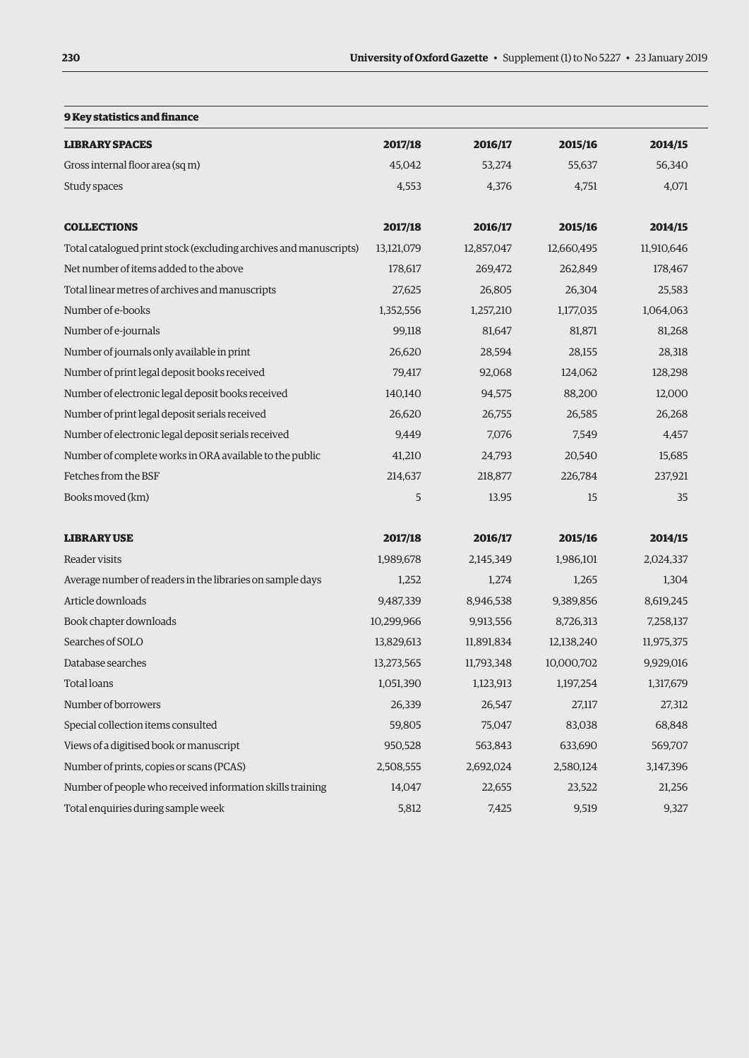| 9 Key statistics and finance                                      |            |            |            |            |
|-------------------------------------------------------------------|------------|------------|------------|------------|
| <b>LIBRARY SPACES</b>                                             | 2017/18    | 2016/17    | 2015/16    | 2014/15    |
| Gross internal floor area (sq m)                                  | 45,042     | 53,274     | 55,637     | 56,340     |
| Study spaces                                                      | 4,553      | 4,376      | 4,751      | 4,071      |
| <b>COLLECTIONS</b>                                                | 2017/18    | 2016/17    | 2015/16    | 2014/15    |
| Total catalogued print stock (excluding archives and manuscripts) | 13,121,079 | 12,857,047 | 12,660,495 | 11,910,646 |
| Net number of items added to the above                            | 178,617    | 269,472    | 262,849    | 178,467    |
| Total linear metres of archives and manuscripts                   | 27,625     | 26,805     | 26,304     | 25,583     |
| Number of e-books                                                 | 1,352,556  | 1,257,210  | 1,177,035  | 1,064,063  |
| Number of e-journals                                              | 99,118     | 81,647     | 81,871     | 81,268     |
| Number of journals only available in print                        | 26,620     | 28,594     | 28,155     | 28,318     |
| Number of print legal deposit books received                      | 79,417     | 92,068     | 124,062    | 128,298    |
| Number of electronic legal deposit books received                 | 140,140    | 94,575     | 88,200     | 12,000     |
| Number of print legal deposit serials received                    | 26,620     | 26,755     | 26,585     | 26,268     |
| Number of electronic legal deposit serials received               | 9,449      | 7,076      | 7,549      | 4,457      |
| Number of complete works in ORA available to the public           | 41,210     | 24,793     | 20,540     | 15,685     |
| Fetches from the BSF                                              | 214,637    | 218,877    | 226,784    | 237,921    |
| Books moved (km)                                                  | 5          | 13.95      | 15         | 35         |
| <b>LIBRARY USE</b>                                                | 2017/18    | 2016/17    | 2015/16    | 2014/15    |
| Reader visits                                                     | 1,989,678  | 2,145,349  | 1,986,101  | 2,024,337  |
| Average number of readers in the libraries on sample days         | 1,252      | 1,274      | 1,265      | 1,304      |
| Article downloads                                                 | 9,487,339  | 8,946,538  | 9,389,856  | 8,619,245  |
| Book chapter downloads                                            | 10,299,966 | 9,913,556  | 8,726,313  | 7,258,137  |
| Searches of SOLO                                                  | 13,829,613 | 11,891,834 | 12,138,240 | 11,975,375 |
| Database searches                                                 | 13,273,565 | 11,793,348 | 10,000,702 | 9,929,016  |
| <b>Total loans</b>                                                | 1,051,390  | 1,123,913  | 1,197,254  | 1,317,679  |
| Number of borrowers                                               | 26,339     | 26,547     | 27,117     | 27,312     |
| Special collection items consulted                                | 59,805     | 75,047     | 83,038     | 68,848     |
| Views of a digitised book or manuscript                           | 950,528    | 563,843    | 633,690    | 569,707    |
| Number of prints, copies or scans (PCAS)                          | 2,508,555  | 2,692,024  | 2,580,124  | 3,147,396  |
| Number of people who received information skills training         | 14,047     | 22,655     | 23,522     | 21,256     |
| Total enquiries during sample week                                | 5,812      | 7,425      | 9,519      | 9,327      |